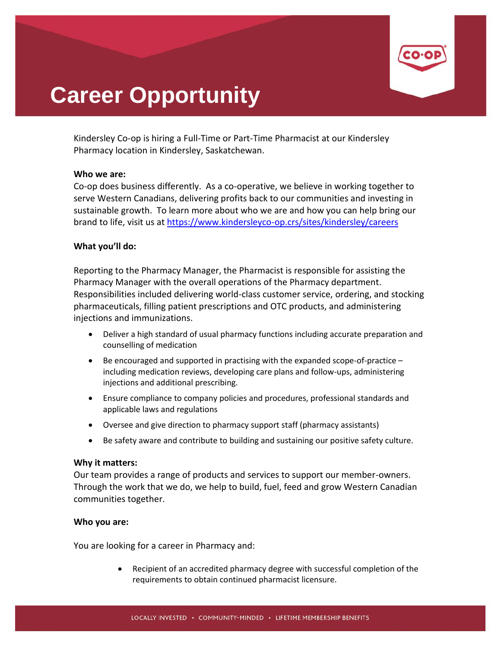

# **Career Opportunity**

Kindersley Co-op is hiring a Full-Time or Part-Time Pharmacist at our Kindersley Pharmacy location in Kindersley, Saskatchewan.

## **Who we are:**

Co-op does business differently. As a co-operative, we believe in working together to serve Western Canadians, delivering profits back to our communities and investing in sustainable growth. To learn more about who we are and how you can help bring our brand to life, visit us at<https://www.kindersleyco-op.crs/sites/kindersley/careers>

## **What you'll do:**

Reporting to the Pharmacy Manager, the Pharmacist is responsible for assisting the Pharmacy Manager with the overall operations of the Pharmacy department. Responsibilities included delivering world-class customer service, ordering, and stocking pharmaceuticals, filling patient prescriptions and OTC products, and administering injections and immunizations.

- Deliver a high standard of usual pharmacy functions including accurate preparation and counselling of medication
- Be encouraged and supported in practising with the expanded scope-of-practice including medication reviews, developing care plans and follow-ups, administering injections and additional prescribing.
- Ensure compliance to company policies and procedures, professional standards and applicable laws and regulations
- Oversee and give direction to pharmacy support staff (pharmacy assistants)
- Be safety aware and contribute to building and sustaining our positive safety culture.

### **Why it matters:**

Our team provides a range of products and services to support our member-owners. Through the work that we do, we help to build, fuel, feed and grow Western Canadian communities together.

### **Who you are:**

You are looking for a career in Pharmacy and:

• Recipient of an accredited pharmacy degree with successful completion of the requirements to obtain continued pharmacist licensure.